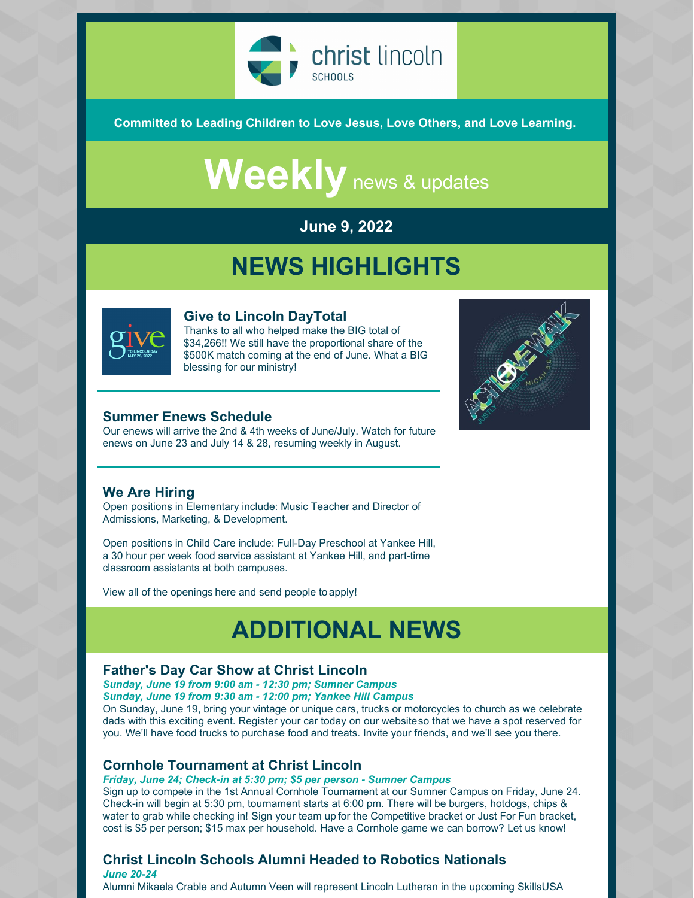

**Committed to Leading Children to Love Jesus, Love Others, and Love Learning.**

# Weekly news & updates

### **June 9, 2022**

### **NEWS HIGHLIGHTS**



#### **Give to Lincoln DayTotal**

Thanks to all who helped make the BIG total of \$34,266!! We still have the proportional share of the \$500K match coming at the end of June. What a BIG blessing for our ministry!

#### **Summer Enews Schedule**

Our enews will arrive the 2nd & 4th weeks of June/July. Watch for future enews on June 23 and July 14 & 28, resuming weekly in August.



#### **We Are Hiring**

Open positions in Elementary include: Music Teacher and Director of Admissions, Marketing, & Development.

Open positions in Child Care include: Full-Day Preschool at Yankee Hill, a 30 hour per week food service assistant at Yankee Hill, and part-time classroom assistants at both campuses.

View all of the openings [here](https://christlincolnschools.org/workhere/) and send people to [apply](https://form.jotform.com/211184355646154)!

## **ADDITIONAL NEWS**

#### **Father's Day Car Show at Christ Lincoln**

*Sunday, June 19 from 9:00 am - 12:30 pm; Sumner Campus Sunday, June 19 from 9:30 am - 12:00 pm; Yankee Hill Campus*

On Sunday, June 19, bring your vintage or unique cars, trucks or motorcycles to church as we celebrate dads with this exciting event. [Register](https://r20.rs6.net/tn.jsp?f=001TeVHNAm3uj3RoPCR4W1sGfnSgrB-1ehRthCbGcfo4KUe9HWwm3DrO5PWuPFgkSXNfoxbMhtRRCEcUzRHEIdL_7euMXtVXE5urL-hbomh9gtZNrSBwJuctVLL4b8MFIgDS52A2MBdQvUpNsYWdi8G2yWvZMsVL6B3&c=STv-daLNgK8LzCDiNsp3hVBArv8Gk7vTeBOchO8tdeABQl3lBleBCA==&ch=mBGQwGsuzG51hQdbW4Nyy_IQAoJ0ZbUWk6Jw91gOEgeC8d36nIZ9Ng==) your car today on our websiteso that we have a spot reserved for you. We'll have food trucks to purchase food and treats. Invite your friends, and we'll see you there.

#### **Cornhole Tournament at Christ Lincoln**

*Friday, June 24; Check-in at 5:30 pm; \$5 per person - Sumner Campus*

Sign up to compete in the 1st Annual Cornhole Tournament at our Sumner Campus on Friday, June 24. Check-in will begin at 5:30 pm, tournament starts at 6:00 pm. There will be burgers, hotdogs, chips & water to grab while checking in! Sign your [team](https://r20.rs6.net/tn.jsp?f=001TeVHNAm3uj3RoPCR4W1sGfnSgrB-1ehRthCbGcfo4KUe9HWwm3DrO_2VhDhmXeH_LDsX52GfEXvAA5eMpIcTl6iHu5WlvQ7G1qPb0IlkmVa4k8-UvrZvV29FKss5Ua7EQcExrjmyAP_Tw3P8VmnBINOJBMPJz7sfgM6oWrw_J4MawrNB0gvAvx0c-XaSjW8t2jZGw-SJgpp6fQdmrfIoHX9Y6zYsObZx&c=STv-daLNgK8LzCDiNsp3hVBArv8Gk7vTeBOchO8tdeABQl3lBleBCA==&ch=mBGQwGsuzG51hQdbW4Nyy_IQAoJ0ZbUWk6Jw91gOEgeC8d36nIZ9Ng==) up for the Competitive bracket or Just For Fun bracket, cost is \$5 per person; \$15 max per household. Have a Cornhole game we can borrow? Let us [know](mailto:saphilson@christlincoln.org)!

### **Christ Lincoln Schools Alumni Headed to Robotics Nationals**

*June 20-24* Alumni Mikaela Crable and Autumn Veen will represent Lincoln Lutheran in the upcoming SkillsUSA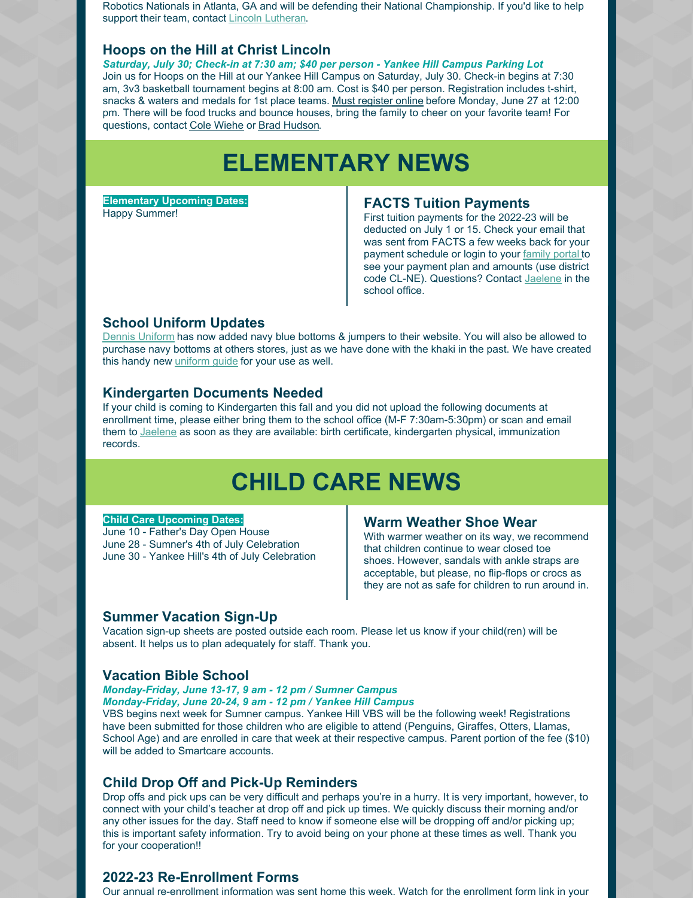Robotics Nationals in Atlanta, GA and will be defending their National Championship. If you'd like to help support their team, contact Lincoln [Lutheran](mailto:frontdesk@lincolnlutheran.org).

#### **Hoops on the Hill at Christ Lincoln**

*Saturday, July 30; Check-in at 7:30 am; \$40 per person - Yankee Hill Campus Parking Lot* Join us for Hoops on the Hill at our Yankee Hill Campus on Saturday, July 30. Check-in begins at 7:30 am, 3v3 basketball tournament begins at 8:00 am. Cost is \$40 per person. Registration includes t-shirt, snacks & waters and medals for 1st place teams. Must [register](https://r20.rs6.net/tn.jsp?f=001TeVHNAm3uj3RoPCR4W1sGfnSgrB-1ehRthCbGcfo4KUe9HWwm3DrO_2VhDhmXeH_gZEjS8mFwNKf1XLPV65PR77R7syKyMMZfAYufcXZtyPxoeiKOUcjkgplQVQ3VUkUI6vf8PG0oLnoytTSqw5HD0MEh1subgPD24rbzWjJXHrMNJPw0Uf5tiTdYsFId4zsYwjo9KF4uQpaONMzqmh1fTLFjiPByqxh&c=STv-daLNgK8LzCDiNsp3hVBArv8Gk7vTeBOchO8tdeABQl3lBleBCA==&ch=mBGQwGsuzG51hQdbW4Nyy_IQAoJ0ZbUWk6Jw91gOEgeC8d36nIZ9Ng==) online before Monday, June 27 at 12:00 pm. There will be food trucks and bounce houses, bring the family to cheer on your favorite team! For questions, contact Cole [Wiehe](mailto:cole-weihe@sandhills.com) or Brad [Hudson](mailto:bbhudson@aetna.com).

### **ELEMENTARY NEWS**

**Elementary Upcoming Dates:** Happy Summer!

#### **FACTS Tuition Payments**

First tuition payments for the 2022-23 will be deducted on July 1 or 15. Check your email that was sent from FACTS a few weeks back for your payment schedule or login to your [family](https://logins2.renweb.com/logins/parentsweb-login.aspx) portal to see your payment plan and amounts (use district code CL-NE). Questions? Contact [Jaelene](mailto:jkoll@christlincoln.org) in the school office.

#### **School Uniform Updates**

Dennis [Uniform](https://www.dennisuniform.com/collections/pln/grade-K,gender-Girls) has now added navy blue bottoms & jumpers to their website. You will also be allowed to purchase navy bottoms at others stores, just as we have done with the khaki in the past. We have created this handy new *[uniform](https://files.constantcontact.com/bce746ff501/49886ce4-a09d-4576-95b9-084e206d3c29.pdf) guide* for your use as well.

#### **Kindergarten Documents Needed**

If your child is coming to Kindergarten this fall and you did not upload the following documents at enrollment time, please either bring them to the school office (M-F 7:30am-5:30pm) or scan and email them to [Jaelene](mailto:jkoll@christlincoln.org) as soon as they are available: birth certificate, kindergarten physical, immunization records.

### **CHILD CARE NEWS**

#### **Child Care Upcoming Dates:**

June 10 - Father's Day Open House June 28 - Sumner's 4th of July Celebration June 30 - Yankee Hill's 4th of July Celebration

#### **Warm Weather Shoe Wear**

With warmer weather on its way, we recommend that children continue to wear closed toe shoes. However, sandals with ankle straps are acceptable, but please, no flip-flops or crocs as they are not as safe for children to run around in.

#### **Summer Vacation Sign-Up**

Vacation sign-up sheets are posted outside each room. Please let us know if your child(ren) will be absent. It helps us to plan adequately for staff. Thank you.

#### **Vacation Bible School**

*Monday-Friday, June 13-17, 9 am - 12 pm / Sumner Campus Monday-Friday, June 20-24, 9 am - 12 pm / Yankee Hill Campus*

VBS begins next week for Sumner campus. Yankee Hill VBS will be the following week! Registrations have been submitted for those children who are eligible to attend (Penguins, Giraffes, Otters, Llamas, School Age) and are enrolled in care that week at their respective campus. Parent portion of the fee (\$10) will be added to Smartcare accounts.

#### **Child Drop Off and Pick-Up Reminders**

Drop offs and pick ups can be very difficult and perhaps you're in a hurry. It is very important, however, to connect with your child's teacher at drop off and pick up times. We quickly discuss their morning and/or any other issues for the day. Staff need to know if someone else will be dropping off and/or picking up; this is important safety information. Try to avoid being on your phone at these times as well. Thank you for your cooperation!!

#### **2022-23 Re-Enrollment Forms**

Our annual re-enrollment information was sent home this week. Watch for the enrollment form link in your